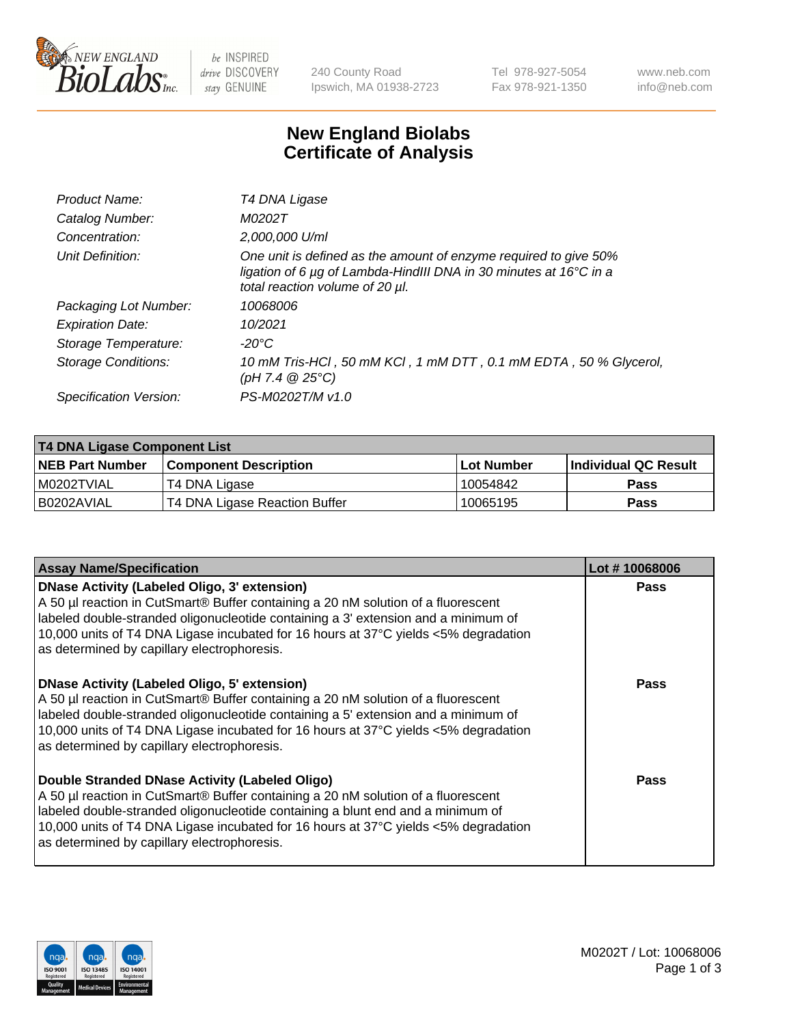

be INSPIRED drive DISCOVERY stay GENUINE

240 County Road Ipswich, MA 01938-2723 Tel 978-927-5054 Fax 978-921-1350 www.neb.com info@neb.com

## **New England Biolabs Certificate of Analysis**

| Product Name:           | T4 DNA Ligase                                                                                                                                                            |
|-------------------------|--------------------------------------------------------------------------------------------------------------------------------------------------------------------------|
| Catalog Number:         | M0202T                                                                                                                                                                   |
| Concentration:          | 2,000,000 U/ml                                                                                                                                                           |
| Unit Definition:        | One unit is defined as the amount of enzyme required to give 50%<br>ligation of 6 µg of Lambda-HindIII DNA in 30 minutes at 16°C in a<br>total reaction volume of 20 µl. |
| Packaging Lot Number:   | 10068006                                                                                                                                                                 |
| <b>Expiration Date:</b> | 10/2021                                                                                                                                                                  |
| Storage Temperature:    | -20°C                                                                                                                                                                    |
| Storage Conditions:     | 10 mM Tris-HCl, 50 mM KCl, 1 mM DTT, 0.1 mM EDTA, 50 % Glycerol,<br>$(pH 7.4 \ @ 25^{\circ}C)$                                                                           |
| Specification Version:  | PS-M0202T/M v1.0                                                                                                                                                         |

| T4 DNA Ligase Component List |                               |              |                             |  |
|------------------------------|-------------------------------|--------------|-----------------------------|--|
| <b>NEB Part Number</b>       | l Component Description       | l Lot Number | <b>Individual QC Result</b> |  |
| I M0202TVIAL                 | T4 DNA Ligase                 | 10054842     | <b>Pass</b>                 |  |
| I B0202AVIAL                 | T4 DNA Ligase Reaction Buffer | 10065195     | <b>Pass</b>                 |  |

| <b>Assay Name/Specification</b>                                                                                                                                                                                                                                                                                                                               | Lot #10068006 |
|---------------------------------------------------------------------------------------------------------------------------------------------------------------------------------------------------------------------------------------------------------------------------------------------------------------------------------------------------------------|---------------|
| DNase Activity (Labeled Oligo, 3' extension)<br>A 50 µl reaction in CutSmart® Buffer containing a 20 nM solution of a fluorescent<br>labeled double-stranded oligonucleotide containing a 3' extension and a minimum of<br>10,000 units of T4 DNA Ligase incubated for 16 hours at 37°C yields <5% degradation<br>as determined by capillary electrophoresis. | <b>Pass</b>   |
| DNase Activity (Labeled Oligo, 5' extension)<br>A 50 µl reaction in CutSmart® Buffer containing a 20 nM solution of a fluorescent<br>labeled double-stranded oligonucleotide containing a 5' extension and a minimum of<br>10,000 units of T4 DNA Ligase incubated for 16 hours at 37°C yields <5% degradation<br>as determined by capillary electrophoresis. | <b>Pass</b>   |
| Double Stranded DNase Activity (Labeled Oligo)<br>A 50 µl reaction in CutSmart® Buffer containing a 20 nM solution of a fluorescent<br>abeled double-stranded oligonucleotide containing a blunt end and a minimum of<br>10,000 units of T4 DNA Ligase incubated for 16 hours at 37°C yields <5% degradation<br>as determined by capillary electrophoresis.   | Pass          |

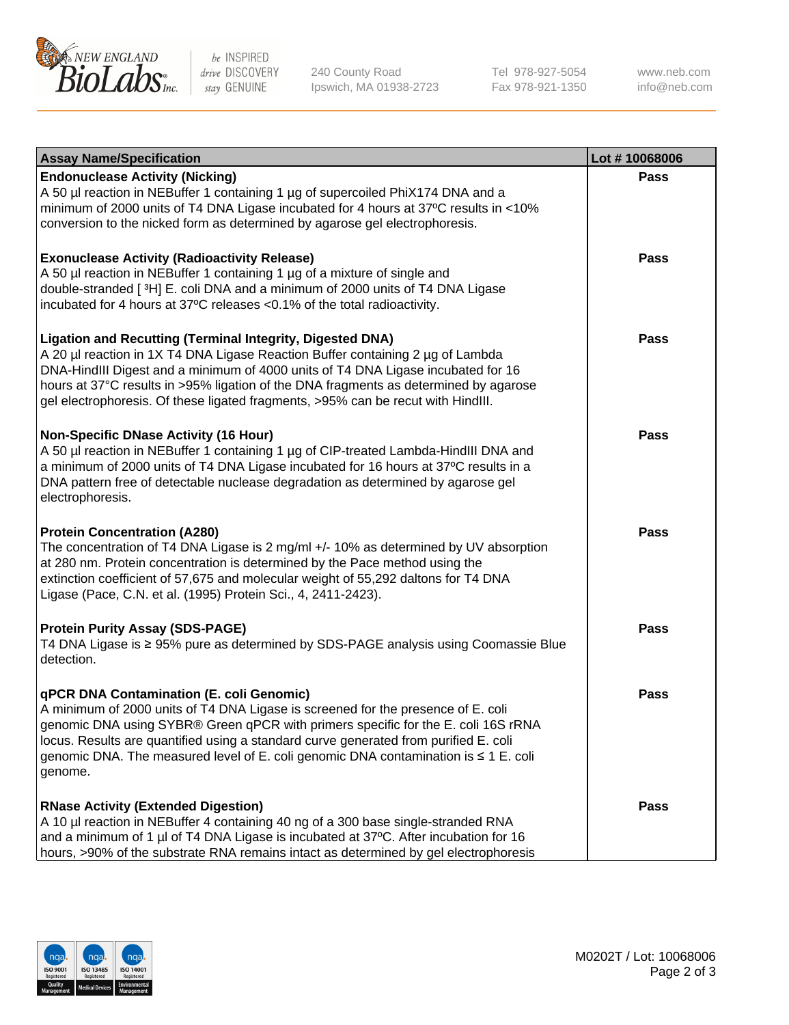

be INSPIRED drive DISCOVERY stay GENUINE

240 County Road Ipswich, MA 01938-2723 Tel 978-927-5054 Fax 978-921-1350

www.neb.com info@neb.com

| <b>Assay Name/Specification</b>                                                                                                                                                                                                                                                                                                                                                                                    | Lot #10068006 |
|--------------------------------------------------------------------------------------------------------------------------------------------------------------------------------------------------------------------------------------------------------------------------------------------------------------------------------------------------------------------------------------------------------------------|---------------|
| <b>Endonuclease Activity (Nicking)</b><br>A 50 µl reaction in NEBuffer 1 containing 1 µg of supercoiled PhiX174 DNA and a<br>minimum of 2000 units of T4 DNA Ligase incubated for 4 hours at 37°C results in <10%<br>conversion to the nicked form as determined by agarose gel electrophoresis.                                                                                                                   | <b>Pass</b>   |
| <b>Exonuclease Activity (Radioactivity Release)</b><br>A 50 µl reaction in NEBuffer 1 containing 1 µg of a mixture of single and<br>double-stranded [3H] E. coli DNA and a minimum of 2000 units of T4 DNA Ligase<br>incubated for 4 hours at 37°C releases <0.1% of the total radioactivity.                                                                                                                      | <b>Pass</b>   |
| <b>Ligation and Recutting (Terminal Integrity, Digested DNA)</b><br>A 20 µl reaction in 1X T4 DNA Ligase Reaction Buffer containing 2 µg of Lambda<br>DNA-HindIII Digest and a minimum of 4000 units of T4 DNA Ligase incubated for 16<br>hours at 37°C results in >95% ligation of the DNA fragments as determined by agarose<br>gel electrophoresis. Of these ligated fragments, >95% can be recut with HindIII. | <b>Pass</b>   |
| <b>Non-Specific DNase Activity (16 Hour)</b><br>A 50 µl reaction in NEBuffer 1 containing 1 µg of CIP-treated Lambda-HindIII DNA and<br>a minimum of 2000 units of T4 DNA Ligase incubated for 16 hours at 37°C results in a<br>DNA pattern free of detectable nuclease degradation as determined by agarose gel<br>electrophoresis.                                                                               | <b>Pass</b>   |
| <b>Protein Concentration (A280)</b><br>The concentration of T4 DNA Ligase is 2 mg/ml +/- 10% as determined by UV absorption<br>at 280 nm. Protein concentration is determined by the Pace method using the<br>extinction coefficient of 57,675 and molecular weight of 55,292 daltons for T4 DNA<br>Ligase (Pace, C.N. et al. (1995) Protein Sci., 4, 2411-2423).                                                  | <b>Pass</b>   |
| <b>Protein Purity Assay (SDS-PAGE)</b><br>T4 DNA Ligase is ≥ 95% pure as determined by SDS-PAGE analysis using Coomassie Blue<br>detection.                                                                                                                                                                                                                                                                        | <b>Pass</b>   |
| qPCR DNA Contamination (E. coli Genomic)<br>A minimum of 2000 units of T4 DNA Ligase is screened for the presence of E. coli<br>genomic DNA using SYBR® Green qPCR with primers specific for the E. coli 16S rRNA<br>locus. Results are quantified using a standard curve generated from purified E. coli<br>genomic DNA. The measured level of E. coli genomic DNA contamination is ≤ 1 E. coli<br>genome.        | Pass          |
| <b>RNase Activity (Extended Digestion)</b><br>A 10 µl reaction in NEBuffer 4 containing 40 ng of a 300 base single-stranded RNA<br>and a minimum of 1 µl of T4 DNA Ligase is incubated at 37°C. After incubation for 16<br>hours, >90% of the substrate RNA remains intact as determined by gel electrophoresis                                                                                                    | Pass          |